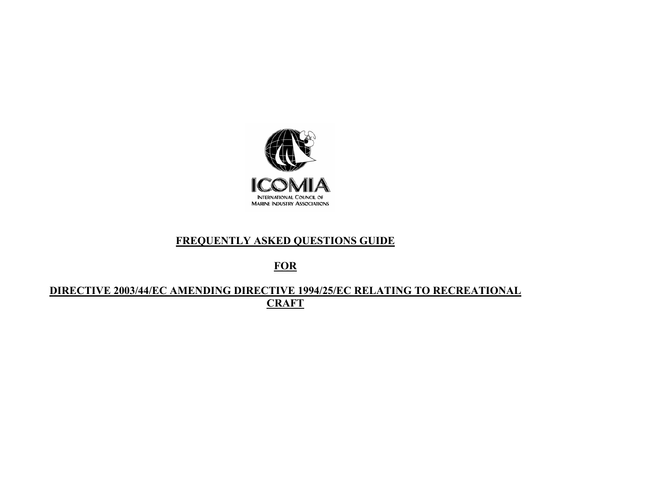

# **FREQUENTLY ASKED QUESTIONS GUIDE**

**FOR**

## **DIRECTIVE 2003/44/EC AMENDING DIRECTIVE 1994/25/EC RELATING TO RECREATIONAL CRAFT**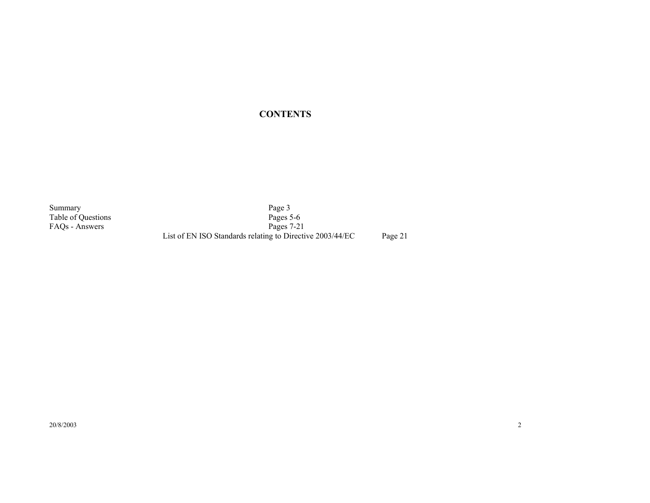### **CONTENTS**

Summary Page 3 Table of Questions Pages 5-6 FAQs - Answers Pages 7-21 List of EN ISO Standards relating to Directive 2003/44/EC Page 21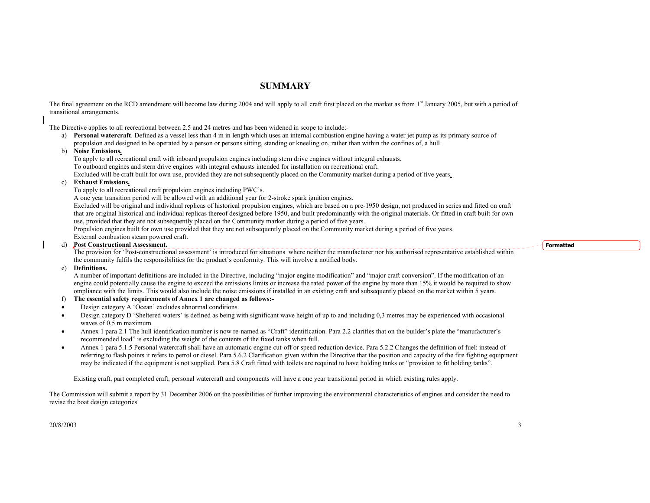## **SUMMARY**

The final agreement on the RCD amendment will become law during 2004 and will apply to all craft first placed on the market as from 1<sup>st</sup> January 2005, but with a period of transitional arrangements.

The Directive applies to all recreational between 2.5 and 24 metres and has been widened in scope to include:-

a) **Personal watercraft**. Defined as a vessel less than 4 m in length which uses an internal combustion engine having a water jet pump as its primary source of propulsion and designed to be operated by a person or persons sitting, standing or kneeling on, rather than within the confines of, a hull.

#### b) **Noise Emissions.**

To apply to all recreational craft with inboard propulsion engines including stern drive engines without integral exhausts.

To outboard engines and stern drive engines with integral exhausts intended for installation on recreational craft.

Excluded will be craft built for own use, provided they are not subsequently placed on the Community market during a period of five years.

#### **Exhaust Emissions.**

To apply to all recreational craft propulsion engines including PWC's.

A one year transition period will be allowed with an additional year for 2-stroke spark ignition engines.

Excluded will be original and individual replicas of historical propulsion engines, which are based on a pre-1950 design, not produced in series and fitted on craft that are original historical and individual replicas thereof designed before 1950, and built predominantly with the original materials. Or fitted in craft built for own use, provided that they are not subsequently placed on the Community market during a period of five years.

Propulsion engines built for own use provided that they are not subsequently placed on the Community market during a period of five years. External combustion steam powered craft.

#### d) **Post Constructional Assessment.**

**Post Constructional Assessment.**<br>The provision for 'Post-constructional assessment' is introduced for situations where neither the manufacturer nor his authorised representative established within the community fulfils the responsibilities for the product's conformity. This will involve a notified body.

#### e) **Definitions.**

A number of important definitions are included in the Directive, including "major engine modification" and "major craft conversion". If the modification of an engine could potentially cause the engine to exceed the emissions limits or increase the rated power of the engine by more than 15% it would be required to show ompliance with the limits. This would also include the noise emissions if installed in an existing craft and subsequently placed on the market within 5 years.

#### f) **The essential safety requirements of Annex 1 are changed as follows:-**

- •Design category A 'Ocean' excludes abnormal conditions.
- • Design category D 'Sheltered waters' is defined as being with significant wave height of up to and including 0,3 metres may be experienced with occasional waves of  $0.5$  m maximum.
- • Annex 1 para 2.1 The hull identification number is now re-named as "Craft" identification. Para 2.2 clarifies that on the builder's plate the "manufacturer's recommended load" is excluding the weight of the contents of the fixed tanks when full.
- • Annex 1 para 5.1.5 Personal watercraft shall have an automatic engine cut-off or speed reduction device. Para 5.2.2 Changes the definition of fuel: instead of referring to flash points it refers to petrol or diesel. Para 5.6.2 Clarification given within the Directive that the position and capacity of the fire fighting equipment may be indicated if the equipment is not supplied. Para 5.8 Craft fitted with toilets are required to have holding tanks or "provision to fit holding tanks".

Existing craft, part completed craft, personal watercraft and components will have a one year transitional period in which existing rules apply.

The Commission will submit a report by 31 December 2006 on the possibilities of further improving the environmental characteristics of engines and consider the need to revise the boat design categories.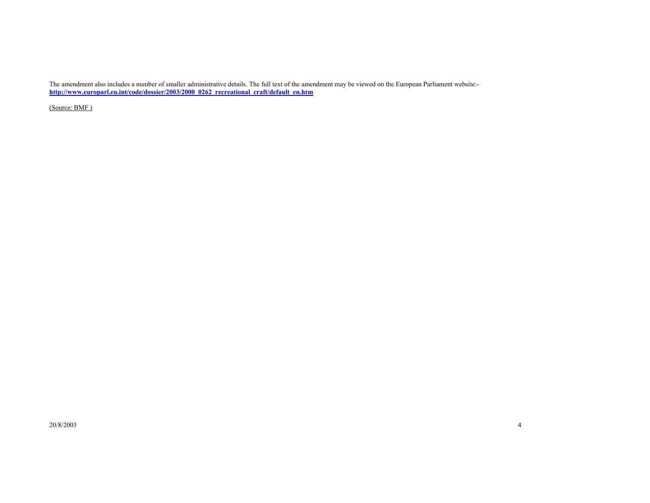The amendment also includes a number of smaller administrative details. The full text of the amendment may be viewed on the European Parliament website: **http://www.europarl.eu.int/code/dossier/2003/2000\_0262\_recreational\_craft/default\_en.htm**

(Source: BMF )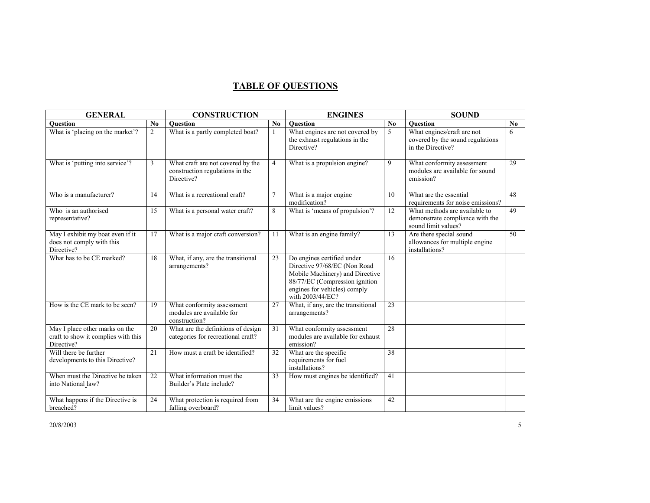## **TABLE OF QUESTIONS**

| <b>GENERAL</b>                                                                      |                | <b>CONSTRUCTION</b>                                                                |                        | <b>ENGINES</b>                                                                                                                                                                      |                | <b>SOUND</b>                                                                            |                 |
|-------------------------------------------------------------------------------------|----------------|------------------------------------------------------------------------------------|------------------------|-------------------------------------------------------------------------------------------------------------------------------------------------------------------------------------|----------------|-----------------------------------------------------------------------------------------|-----------------|
| <b>Ouestion</b>                                                                     | No             | <b>Ouestion</b>                                                                    | $\mathbf{N}\mathbf{0}$ | Question                                                                                                                                                                            | N <sub>0</sub> | <b>Ouestion</b>                                                                         | N <sub>0</sub>  |
| What is 'placing on the market'?                                                    | $\overline{2}$ | What is a partly completed boat?                                                   | $\mathbf{1}$           | What engines are not covered by<br>the exhaust regulations in the<br>Directive?                                                                                                     | 5              | What engines/craft are not<br>covered by the sound regulations<br>in the Directive?     | 6               |
| What is 'putting into service'?                                                     | 3              | What craft are not covered by the<br>construction regulations in the<br>Directive? | $\overline{4}$         | What is a propulsion engine?                                                                                                                                                        | 9              | What conformity assessment<br>modules are available for sound<br>emission?              | 29              |
| Who is a manufacturer?                                                              | 14             | What is a recreational craft?                                                      | $\overline{7}$         | What is a major engine.<br>modification?                                                                                                                                            | 10             | What are the essential<br>requirements for noise emissions?                             | 48              |
| Who is an authorised<br>representative?                                             | 15             | What is a personal water craft?                                                    | 8                      | What is 'means of propulsion'?                                                                                                                                                      | 12             | What methods are available to<br>demonstrate compliance with the<br>sound limit values? | 49              |
| May I exhibit my boat even if it<br>does not comply with this<br>Directive?         | 17             | What is a major craft conversion?                                                  | 11                     | What is an engine family?                                                                                                                                                           | 13             | Are there special sound<br>allowances for multiple engine<br>installations?             | $\overline{50}$ |
| What has to be CE marked?                                                           | 18             | What, if any, are the transitional<br>arrangements?                                | 23                     | Do engines certified under<br>Directive 97/68/EC (Non Road<br>Mobile Machinery) and Directive<br>88/77/EC (Compression ignition<br>engines for vehicles) comply<br>with 2003/44/EC? | 16             |                                                                                         |                 |
| How is the CE mark to be seen?                                                      | 19             | What conformity assessment<br>modules are available for<br>construction?           | 27                     | What, if any, are the transitional<br>arrangements?                                                                                                                                 | 23             |                                                                                         |                 |
| May I place other marks on the<br>craft to show it complies with this<br>Directive? | 20             | What are the definitions of design<br>categories for recreational craft?           | 31                     | What conformity assessment<br>modules are available for exhaust<br>emission?                                                                                                        | 28             |                                                                                         |                 |
| Will there be further<br>developments to this Directive?                            | 21             | How must a craft be identified?                                                    | 32                     | What are the specific<br>requirements for fuel<br>installations?                                                                                                                    | 38             |                                                                                         |                 |
| When must the Directive be taken<br>into National law?                              | 22             | What information must the<br>Builder's Plate include?                              | 33                     | How must engines be identified?                                                                                                                                                     | 41             |                                                                                         |                 |
| What happens if the Directive is<br>breached?                                       | 24             | What protection is required from<br>falling overboard?                             | 34                     | What are the engine emissions<br>limit values?                                                                                                                                      | 42             |                                                                                         |                 |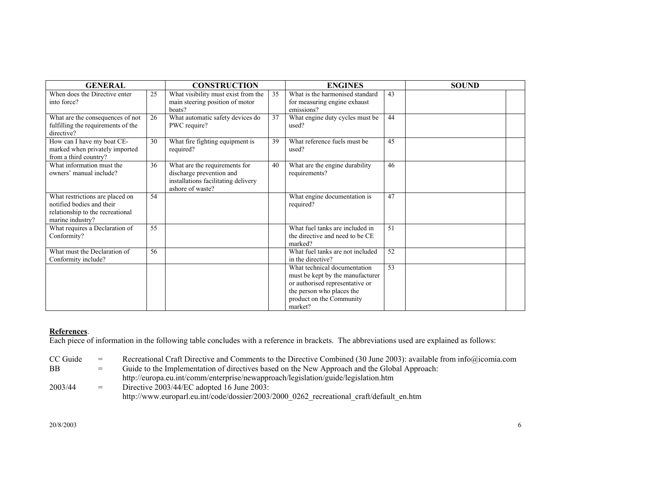| <b>GENERAL</b>                                                                                                       |    | <b>CONSTRUCTION</b>                                                                                                  |    | <b>ENGINES</b>                                                                                                                                                          |                 | <b>SOUND</b> |  |
|----------------------------------------------------------------------------------------------------------------------|----|----------------------------------------------------------------------------------------------------------------------|----|-------------------------------------------------------------------------------------------------------------------------------------------------------------------------|-----------------|--------------|--|
| When does the Directive enter<br>into force?                                                                         | 25 | What visibility must exist from the<br>main steering position of motor<br>boats?                                     | 35 | What is the harmonised standard<br>for measuring engine exhaust<br>emissions?                                                                                           | 43              |              |  |
| What are the consequences of not<br>fulfilling the requirements of the<br>directive?                                 | 26 | What automatic safety devices do<br>PWC require?                                                                     | 37 | What engine duty cycles must be<br>used?                                                                                                                                | 44              |              |  |
| How can I have my boat CE-<br>marked when privately imported<br>from a third country?                                | 30 | What fire fighting equipment is<br>required?                                                                         | 39 | What reference fuels must be<br>used?                                                                                                                                   | 45              |              |  |
| What information must the<br>owners' manual include?                                                                 | 36 | What are the requirements for<br>discharge prevention and<br>installations facilitating delivery<br>ashore of waste? | 40 | What are the engine durability<br>requirements?                                                                                                                         | 46              |              |  |
| What restrictions are placed on<br>notified bodies and their<br>relationship to the recreational<br>marine industry? | 54 |                                                                                                                      |    | What engine documentation is<br>required?                                                                                                                               | 47              |              |  |
| What requires a Declaration of<br>Conformity?                                                                        | 55 |                                                                                                                      |    | What fuel tanks are included in<br>the directive and need to be CE<br>marked?                                                                                           | 51              |              |  |
| What must the Declaration of<br>Conformity include?                                                                  | 56 |                                                                                                                      |    | What fuel tanks are not included<br>in the directive?                                                                                                                   | 52              |              |  |
|                                                                                                                      |    |                                                                                                                      |    | What technical documentation<br>must be kept by the manufacturer<br>or authorised representative or<br>the person who places the<br>product on the Community<br>market? | $\overline{53}$ |              |  |

### **References**.

Each piece of information in the following table concludes with a reference in brackets. The abbreviations used are explained as follows:

CC Guide = Recreational Craft Directive and Comments to the Directive Combined (30 June 2003): available from info@icomia.com BB = Guide to the Implementation of directives based on the New Approach and the Global Approach: http://europa.eu.int/comm/enterprise/newapproach/legislation/guide/legislation.htm 2003/44  $=$  Directive 2003/44/EC adopted 16 June 2003:

http://www.europarl.eu.int/code/dossier/2003/2000\_0262\_recreational\_craft/default\_en.htm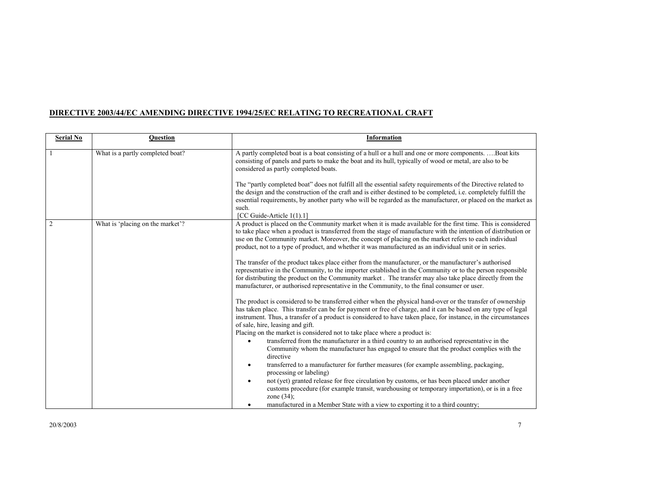### **DIRECTIVE 2003/44/EC AMENDING DIRECTIVE 1994/25/EC RELATING TO RECREATIONAL CRAFT**

| <b>Serial No</b> | <b>Question</b>                  | <b>Information</b>                                                                                                                                                                                                                                                                                                                                                                                                                                                              |
|------------------|----------------------------------|---------------------------------------------------------------------------------------------------------------------------------------------------------------------------------------------------------------------------------------------------------------------------------------------------------------------------------------------------------------------------------------------------------------------------------------------------------------------------------|
|                  | What is a partly completed boat? | A partly completed boat is a boat consisting of a hull or a hull and one or more componentsBoat kits<br>consisting of panels and parts to make the boat and its hull, typically of wood or metal, are also to be<br>considered as partly completed boats.                                                                                                                                                                                                                       |
|                  |                                  | The "partly completed boat" does not fulfill all the essential safety requirements of the Directive related to<br>the design and the construction of the craft and is either destined to be completed, i.e. completely fulfill the<br>essential requirements, by another party who will be regarded as the manufacturer, or placed on the market as<br>such.                                                                                                                    |
| $\overline{2}$   | What is 'placing on the market'? | [CC Guide-Article 1(1).1]<br>A product is placed on the Community market when it is made available for the first time. This is considered<br>to take place when a product is transferred from the stage of manufacture with the intention of distribution or<br>use on the Community market. Moreover, the concept of placing on the market refers to each individual<br>product, not to a type of product, and whether it was manufactured as an individual unit or in series. |
|                  |                                  | The transfer of the product takes place either from the manufacturer, or the manufacturer's authorised<br>representative in the Community, to the importer established in the Community or to the person responsible<br>for distributing the product on the Community market. The transfer may also take place directly from the<br>manufacturer, or authorised representative in the Community, to the final consumer or user.                                                 |
|                  |                                  | The product is considered to be transferred either when the physical hand-over or the transfer of ownership<br>has taken place. This transfer can be for payment or free of charge, and it can be based on any type of legal<br>instrument. Thus, a transfer of a product is considered to have taken place, for instance, in the circumstances<br>of sale, hire, leasing and gift.<br>Placing on the market is considered not to take place where a product is:                |
|                  |                                  | transferred from the manufacturer in a third country to an authorised representative in the<br>$\bullet$<br>Community whom the manufacturer has engaged to ensure that the product complies with the<br>directive                                                                                                                                                                                                                                                               |
|                  |                                  | transferred to a manufacturer for further measures (for example assembling, packaging,<br>٠<br>processing or labeling)                                                                                                                                                                                                                                                                                                                                                          |
|                  |                                  | not (yet) granted release for free circulation by customs, or has been placed under another<br>$\bullet$<br>customs procedure (for example transit, warehousing or temporary importation), or is in a free<br>zone $(34)$ ;                                                                                                                                                                                                                                                     |
|                  |                                  | manufactured in a Member State with a view to exporting it to a third country;<br>٠                                                                                                                                                                                                                                                                                                                                                                                             |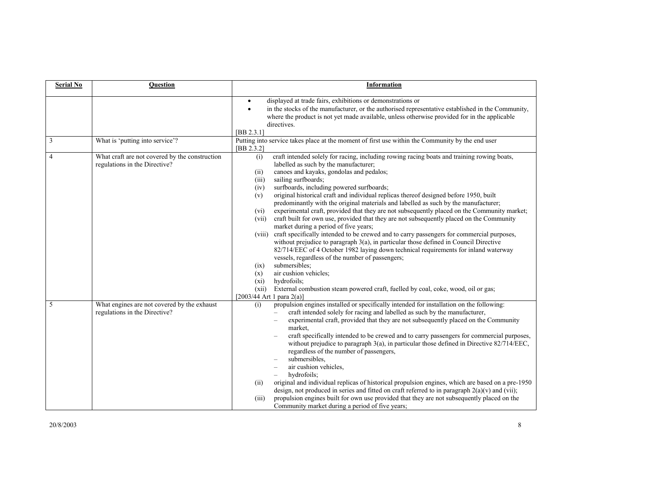| <b>Serial No</b> | <b>Question</b>                                                                 | Information                                                                                                                                                                                                                                                                                                                                                                                                                                                                                                                                                                                                                                                                                                                                                                                                                                                                                                                                                                                                                                                                                                                                                                                                                                                                              |
|------------------|---------------------------------------------------------------------------------|------------------------------------------------------------------------------------------------------------------------------------------------------------------------------------------------------------------------------------------------------------------------------------------------------------------------------------------------------------------------------------------------------------------------------------------------------------------------------------------------------------------------------------------------------------------------------------------------------------------------------------------------------------------------------------------------------------------------------------------------------------------------------------------------------------------------------------------------------------------------------------------------------------------------------------------------------------------------------------------------------------------------------------------------------------------------------------------------------------------------------------------------------------------------------------------------------------------------------------------------------------------------------------------|
|                  |                                                                                 | displayed at trade fairs, exhibitions or demonstrations or<br>$\bullet$<br>in the stocks of the manufacturer, or the authorised representative established in the Community,<br>$\bullet$<br>where the product is not yet made available, unless otherwise provided for in the applicable<br>directives.<br>[BB 2.3.1]                                                                                                                                                                                                                                                                                                                                                                                                                                                                                                                                                                                                                                                                                                                                                                                                                                                                                                                                                                   |
| 3                | What is 'putting into service'?                                                 | Putting into service takes place at the moment of first use within the Community by the end user<br>[BB 2.3.2]                                                                                                                                                                                                                                                                                                                                                                                                                                                                                                                                                                                                                                                                                                                                                                                                                                                                                                                                                                                                                                                                                                                                                                           |
| 4                | What craft are not covered by the construction<br>regulations in the Directive? | craft intended solely for racing, including rowing racing boats and training rowing boats,<br>(i)<br>labelled as such by the manufacturer;<br>canoes and kayaks, gondolas and pedalos;<br>(ii)<br>sailing surfboards;<br>(iii)<br>surfboards, including powered surfboards;<br>(iv)<br>original historical craft and individual replicas thereof designed before 1950, built<br>(v)<br>predominantly with the original materials and labelled as such by the manufacturer;<br>experimental craft, provided that they are not subsequently placed on the Community market;<br>(vi)<br>craft built for own use, provided that they are not subsequently placed on the Community<br>(vii)<br>market during a period of five years;<br>craft specifically intended to be crewed and to carry passengers for commercial purposes,<br>(viii)<br>without prejudice to paragraph 3(a), in particular those defined in Council Directive<br>82/714/EEC of 4 October 1982 laying down technical requirements for inland waterway<br>vessels, regardless of the number of passengers;<br>submersibles;<br>(ix)<br>air cushion vehicles;<br>(x)<br>hydrofoils;<br>(xi)<br>External combustion steam powered craft, fuelled by coal, coke, wood, oil or gas;<br>(xii)<br>[2003/44 Art 1 para $2(a)$ ] |
| 5                | What engines are not covered by the exhaust<br>regulations in the Directive?    | propulsion engines installed or specifically intended for installation on the following:<br>(i)<br>craft intended solely for racing and labelled as such by the manufacturer,<br>experimental craft, provided that they are not subsequently placed on the Community<br>market.<br>craft specifically intended to be crewed and to carry passengers for commercial purposes,<br>without prejudice to paragraph 3(a), in particular those defined in Directive 82/714/EEC,<br>regardless of the number of passengers,<br>submersibles.<br>air cushion vehicles,<br>hydrofoils;<br>original and individual replicas of historical propulsion engines, which are based on a pre-1950<br>(ii)<br>design, not produced in series and fitted on craft referred to in paragraph $2(a)(v)$ and (vii);<br>propulsion engines built for own use provided that they are not subsequently placed on the<br>(iii)<br>Community market during a period of five years;                                                                                                                                                                                                                                                                                                                                  |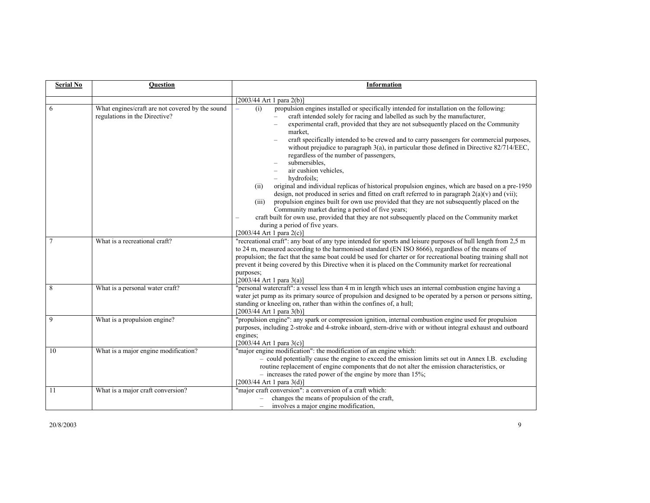| <b>Serial No</b> | <b>Question</b>                                                                  | <b>Information</b>                                                                                                                                                                                                                                                                                                                                                                                                                                                                                                                                                                                                                                                                                                                                                                                                                                                                                                                                                                                                                                                                                                           |
|------------------|----------------------------------------------------------------------------------|------------------------------------------------------------------------------------------------------------------------------------------------------------------------------------------------------------------------------------------------------------------------------------------------------------------------------------------------------------------------------------------------------------------------------------------------------------------------------------------------------------------------------------------------------------------------------------------------------------------------------------------------------------------------------------------------------------------------------------------------------------------------------------------------------------------------------------------------------------------------------------------------------------------------------------------------------------------------------------------------------------------------------------------------------------------------------------------------------------------------------|
|                  |                                                                                  |                                                                                                                                                                                                                                                                                                                                                                                                                                                                                                                                                                                                                                                                                                                                                                                                                                                                                                                                                                                                                                                                                                                              |
|                  |                                                                                  | [2003/44 Art 1 para 2(b)]                                                                                                                                                                                                                                                                                                                                                                                                                                                                                                                                                                                                                                                                                                                                                                                                                                                                                                                                                                                                                                                                                                    |
| 6                | What engines/craft are not covered by the sound<br>regulations in the Directive? | propulsion engines installed or specifically intended for installation on the following:<br>(i)<br>craft intended solely for racing and labelled as such by the manufacturer,<br>experimental craft, provided that they are not subsequently placed on the Community<br>market,<br>craft specifically intended to be crewed and to carry passengers for commercial purposes,<br>without prejudice to paragraph 3(a), in particular those defined in Directive 82/714/EEC,<br>regardless of the number of passengers,<br>submersibles,<br>air cushion vehicles,<br>hydrofoils;<br>original and individual replicas of historical propulsion engines, which are based on a pre-1950<br>(ii)<br>design, not produced in series and fitted on craft referred to in paragraph $2(a)(v)$ and (vii);<br>propulsion engines built for own use provided that they are not subsequently placed on the<br>(iii)<br>Community market during a period of five years;<br>craft built for own use, provided that they are not subsequently placed on the Community market<br>during a period of five years.<br>[2003/44 Art 1 para $2(c)$ ] |
|                  | What is a recreational craft?                                                    | "recreational craft": any boat of any type intended for sports and leisure purposes of hull length from 2,5 m<br>to 24 m, measured according to the harmonised standard (EN ISO 8666), regardless of the means of<br>propulsion; the fact that the same boat could be used for charter or for recreational boating training shall not<br>prevent it being covered by this Directive when it is placed on the Community market for recreational<br>purposes;<br>[2003/44 Art 1 para 3(a)]                                                                                                                                                                                                                                                                                                                                                                                                                                                                                                                                                                                                                                     |
| 8                | What is a personal water craft?                                                  | "personal watercraft": a vessel less than 4 m in length which uses an internal combustion engine having a<br>water jet pump as its primary source of propulsion and designed to be operated by a person or persons sitting,<br>standing or kneeling on, rather than within the confines of, a hull;<br>$[2003/44$ Art 1 para 3(b)]                                                                                                                                                                                                                                                                                                                                                                                                                                                                                                                                                                                                                                                                                                                                                                                           |
| 9                | What is a propulsion engine?                                                     | "propulsion engine": any spark or compression ignition, internal combustion engine used for propulsion<br>purposes, including 2-stroke and 4-stroke inboard, stern-drive with or without integral exhaust and outboard<br>engines;<br>$[2003/44$ Art 1 para 3(c)]                                                                                                                                                                                                                                                                                                                                                                                                                                                                                                                                                                                                                                                                                                                                                                                                                                                            |
| 10               | What is a major engine modification?                                             | "major engine modification": the modification of an engine which:<br>- could potentially cause the engine to exceed the emission limits set out in Annex I.B. excluding<br>routine replacement of engine components that do not alter the emission characteristics, or<br>$-$ increases the rated power of the engine by more than 15%;<br>[2003/44 Art 1 para 3(d)]                                                                                                                                                                                                                                                                                                                                                                                                                                                                                                                                                                                                                                                                                                                                                         |
| 11               | What is a major craft conversion?                                                | "major craft conversion": a conversion of a craft which:<br>changes the means of propulsion of the craft,<br>involves a major engine modification,                                                                                                                                                                                                                                                                                                                                                                                                                                                                                                                                                                                                                                                                                                                                                                                                                                                                                                                                                                           |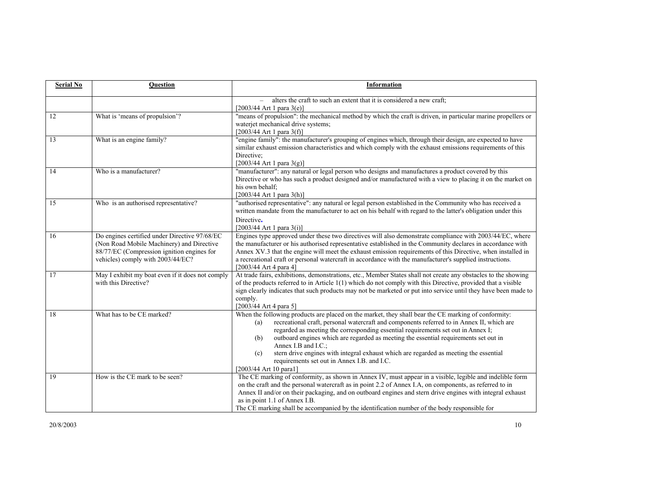| <b>Serial No</b> | Question                                                                                                                                                                      | Information                                                                                                                                                                                                                                                                                                                                                                                                                                                                                                                                                                                |
|------------------|-------------------------------------------------------------------------------------------------------------------------------------------------------------------------------|--------------------------------------------------------------------------------------------------------------------------------------------------------------------------------------------------------------------------------------------------------------------------------------------------------------------------------------------------------------------------------------------------------------------------------------------------------------------------------------------------------------------------------------------------------------------------------------------|
|                  |                                                                                                                                                                               | alters the craft to such an extent that it is considered a new craft;<br>$-$<br>$[2003/44$ Art 1 para 3(e)]                                                                                                                                                                                                                                                                                                                                                                                                                                                                                |
| 12               | What is 'means of propulsion'?                                                                                                                                                | "means of propulsion": the mechanical method by which the craft is driven, in particular marine propellers or<br>waterjet mechanical drive systems;<br>$[2003/44$ Art 1 para 3(f)]                                                                                                                                                                                                                                                                                                                                                                                                         |
| 13               | What is an engine family?                                                                                                                                                     | "engine family": the manufacturer's grouping of engines which, through their design, are expected to have<br>similar exhaust emission characteristics and which comply with the exhaust emissions requirements of this<br>Directive:<br>$[2003/44$ Art 1 para 3(g)]                                                                                                                                                                                                                                                                                                                        |
| 14               | Who is a manufacturer?                                                                                                                                                        | "manufacturer": any natural or legal person who designs and manufactures a product covered by this<br>Directive or who has such a product designed and/or manufactured with a view to placing it on the market on<br>his own behalf;<br>[2003/44 Art 1 para 3(h)]                                                                                                                                                                                                                                                                                                                          |
| $\overline{15}$  | Who is an authorised representative?                                                                                                                                          | "authorised representative": any natural or legal person established in the Community who has received a<br>written mandate from the manufacturer to act on his behalf with regard to the latter's obligation under this<br>Directive.<br>$[2003/44$ Art 1 para 3(i)]                                                                                                                                                                                                                                                                                                                      |
| 16               | Do engines certified under Directive 97/68/EC<br>(Non Road Mobile Machinery) and Directive<br>88/77/EC (Compression ignition engines for<br>vehicles) comply with 2003/44/EC? | Engines type approved under these two directives will also demonstrate compliance with 2003/44/EC, where<br>the manufacturer or his authorised representative established in the Community declares in accordance with<br>Annex XV.3 that the engine will meet the exhaust emission requirements of this Directive, when installed in<br>a recreational craft or personal watercraft in accordance with the manufacturer's supplied instructions.<br>$[2003/44$ Art 4 para 4]                                                                                                              |
| 17               | May I exhibit my boat even if it does not comply<br>with this Directive?                                                                                                      | At trade fairs, exhibitions, demonstrations, etc., Member States shall not create any obstacles to the showing<br>of the products referred to in Article 1(1) which do not comply with this Directive, provided that a visible<br>sign clearly indicates that such products may not be marketed or put into service until they have been made to<br>comply.<br>[2003/44 Art 4 para 5]                                                                                                                                                                                                      |
| 18               | What has to be CE marked?                                                                                                                                                     | When the following products are placed on the market, they shall bear the CE marking of conformity:<br>recreational craft, personal watercraft and components referred to in Annex II, which are<br>(a)<br>regarded as meeting the corresponding essential requirements set out in Annex I;<br>outboard engines which are regarded as meeting the essential requirements set out in<br>(b)<br>Annex I.B and I.C.;<br>stern drive engines with integral exhaust which are regarded as meeting the essential<br>(c)<br>requirements set out in Annex I.B. and I.C.<br>[2003/44 Art 10 para1] |
| 19               | How is the CE mark to be seen?                                                                                                                                                | The CE marking of conformity, as shown in Annex IV, must appear in a visible, legible and indelible form<br>on the craft and the personal watercraft as in point 2.2 of Annex I.A, on components, as referred to in<br>Annex II and/or on their packaging, and on outboard engines and stern drive engines with integral exhaust<br>as in point 1.1 of Annex I.B.<br>The CE marking shall be accompanied by the identification number of the body responsible for                                                                                                                          |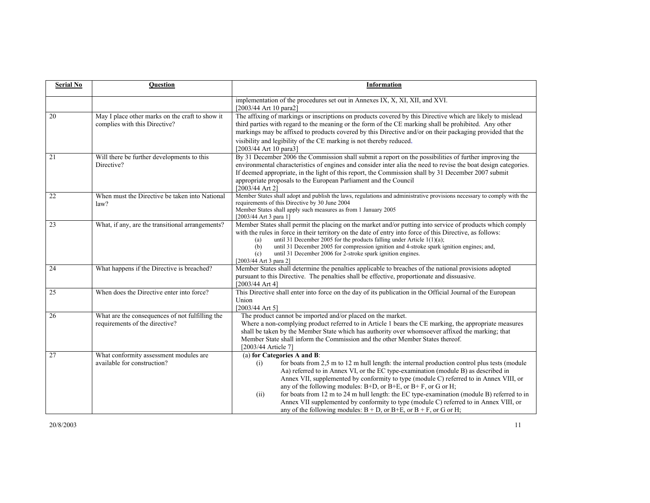| <b>Serial No</b> | <b>Ouestion</b>                                                                   | <b>Information</b>                                                                                                                                                                                                                                                                                                                                                                                                                                                                                                                                                                                                                                                               |
|------------------|-----------------------------------------------------------------------------------|----------------------------------------------------------------------------------------------------------------------------------------------------------------------------------------------------------------------------------------------------------------------------------------------------------------------------------------------------------------------------------------------------------------------------------------------------------------------------------------------------------------------------------------------------------------------------------------------------------------------------------------------------------------------------------|
|                  |                                                                                   | implementation of the procedures set out in Annexes IX, X, XI, XII, and XVI.<br>[2003/44 Art 10 para2]                                                                                                                                                                                                                                                                                                                                                                                                                                                                                                                                                                           |
| 20               | May I place other marks on the craft to show it<br>complies with this Directive?  | The affixing of markings or inscriptions on products covered by this Directive which are likely to mislead<br>third parties with regard to the meaning or the form of the CE marking shall be prohibited. Any other<br>markings may be affixed to products covered by this Directive and/or on their packaging provided that the                                                                                                                                                                                                                                                                                                                                                 |
|                  |                                                                                   | visibility and legibility of the CE marking is not thereby reduced.<br>[2003/44 Art 10 para3]                                                                                                                                                                                                                                                                                                                                                                                                                                                                                                                                                                                    |
| 21               | Will there be further developments to this<br>Directive?                          | By 31 December 2006 the Commission shall submit a report on the possibilities of further improving the<br>environmental characteristics of engines and consider inter alia the need to revise the boat design categories.<br>If deemed appropriate, in the light of this report, the Commission shall by 31 December 2007 submit<br>appropriate proposals to the European Parliament and the Council<br>$[2003/44$ Art 2]                                                                                                                                                                                                                                                        |
| 22               | When must the Directive be taken into National<br>law?                            | Member States shall adopt and publish the laws, regulations and administrative provisions necessary to comply with the<br>requirements of this Directive by 30 June 2004<br>Member States shall apply such measures as from 1 January 2005<br>[2003/44 Art 3 para 1]                                                                                                                                                                                                                                                                                                                                                                                                             |
| 23               | What, if any, are the transitional arrangements?                                  | Member States shall permit the placing on the market and/or putting into service of products which comply<br>with the rules in force in their territory on the date of entry into force of this Directive, as follows:<br>until 31 December 2005 for the products falling under Article $1(1)(a)$ ;<br>(a)<br>until 31 December 2005 for compression ignition and 4-stroke spark ignition engines; and,<br>(b)<br>until 31 December 2006 for 2-stroke spark ignition engines.<br>(c)<br>[2003/44 Art 3 para 2]                                                                                                                                                                   |
| 24               | What happens if the Directive is breached?                                        | Member States shall determine the penalties applicable to breaches of the national provisions adopted<br>pursuant to this Directive. The penalties shall be effective, proportionate and dissuasive.<br>$[2003/44 \text{ Art } 4]$                                                                                                                                                                                                                                                                                                                                                                                                                                               |
| 25               | When does the Directive enter into force?                                         | This Directive shall enter into force on the day of its publication in the Official Journal of the European<br>Union<br>[2003/44 Art 5]                                                                                                                                                                                                                                                                                                                                                                                                                                                                                                                                          |
| 26               | What are the consequences of not fulfilling the<br>requirements of the directive? | The product cannot be imported and/or placed on the market.<br>Where a non-complying product referred to in Article 1 bears the CE marking, the appropriate measures<br>shall be taken by the Member State which has authority over whomsoever affixed the marking; that<br>Member State shall inform the Commission and the other Member States thereof.<br>[2003/44 Article 7]                                                                                                                                                                                                                                                                                                 |
| 27               | What conformity assessment modules are<br>available for construction?             | (a) for Categories A and B:<br>for boats from 2,5 m to 12 m hull length: the internal production control plus tests (module<br>(i)<br>Aa) referred to in Annex VI, or the EC type-examination (module B) as described in<br>Annex VII, supplemented by conformity to type (module C) referred to in Annex VIII, or<br>any of the following modules: $B+D$ , or $B+E$ , or $B+F$ , or $G$ or $H$ ;<br>for boats from 12 m to 24 m hull length: the EC type-examination (module B) referred to in<br>(ii)<br>Annex VII supplemented by conformity to type (module C) referred to in Annex VIII, or<br>any of the following modules: $B + D$ , or $B + E$ , or $B + F$ , or G or H; |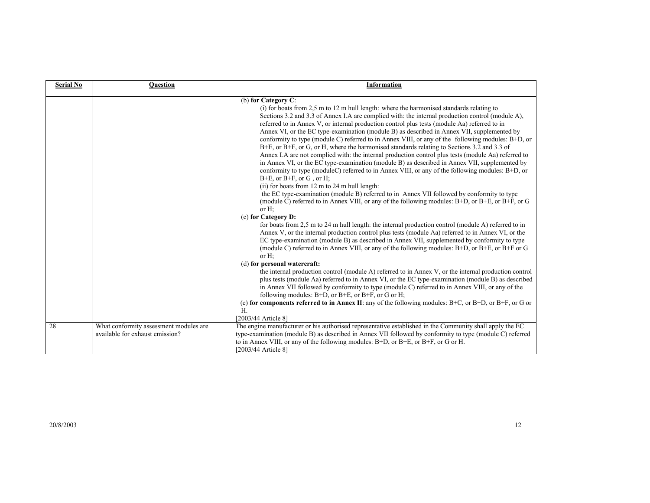| <b>Serial No</b> | <b>Question</b>                                                           | Information                                                                                                                                                                                                                                                                                                                                                                                                                                                                                                                                                                                                                                                                                                                                                                                                                                                                                                                                                                                                                                                                                                                                                                                                                                                                                                                                                                                                                                                                                                                                                                                                                                                                                                                                                                                                                                                                                                                                                                                                                                                                                                                                                                                                                                                 |
|------------------|---------------------------------------------------------------------------|-------------------------------------------------------------------------------------------------------------------------------------------------------------------------------------------------------------------------------------------------------------------------------------------------------------------------------------------------------------------------------------------------------------------------------------------------------------------------------------------------------------------------------------------------------------------------------------------------------------------------------------------------------------------------------------------------------------------------------------------------------------------------------------------------------------------------------------------------------------------------------------------------------------------------------------------------------------------------------------------------------------------------------------------------------------------------------------------------------------------------------------------------------------------------------------------------------------------------------------------------------------------------------------------------------------------------------------------------------------------------------------------------------------------------------------------------------------------------------------------------------------------------------------------------------------------------------------------------------------------------------------------------------------------------------------------------------------------------------------------------------------------------------------------------------------------------------------------------------------------------------------------------------------------------------------------------------------------------------------------------------------------------------------------------------------------------------------------------------------------------------------------------------------------------------------------------------------------------------------------------------------|
|                  |                                                                           | (b) for Category $C$ :<br>(i) for boats from 2,5 m to 12 m hull length: where the harmonised standards relating to<br>Sections 3.2 and 3.3 of Annex I.A are complied with: the internal production control (module A),<br>referred to in Annex V, or internal production control plus tests (module Aa) referred to in<br>Annex VI, or the EC type-examination (module B) as described in Annex VII, supplemented by<br>conformity to type (module C) referred to in Annex VIII, or any of the following modules: B+D, or<br>$B+E$ , or $B+F$ , or G, or H, where the harmonised standards relating to Sections 3.2 and 3.3 of<br>Annex I.A are not complied with: the internal production control plus tests (module Aa) referred to<br>in Annex VI, or the EC type-examination (module B) as described in Annex VII, supplemented by<br>conformity to type (moduleC) referred to in Annex VIII, or any of the following modules: B+D, or<br>$B+E$ , or $B+F$ , or $G$ , or $H$ ;<br>(ii) for boats from 12 m to 24 m hull length:<br>the EC type-examination (module B) referred to in Annex VII followed by conformity to type<br>(module C) referred to in Annex VIII, or any of the following modules: B+D, or B+E, or B+F, or G<br>or $H$ ;<br>(c) for Category D:<br>for boats from 2,5 m to 24 m hull length: the internal production control (module A) referred to in<br>Annex V, or the internal production control plus tests (module Aa) referred to in Annex VI, or the<br>EC type-examination (module B) as described in Annex VII, supplemented by conformity to type<br>(module C) referred to in Annex VIII, or any of the following modules: B+D, or B+E, or B+F or G<br>or $H$ :<br>(d) for personal watercraft:<br>the internal production control (module A) referred to in Annex V, or the internal production control<br>plus tests (module Aa) referred to in Annex VI, or the EC type-examination (module B) as described<br>in Annex VII followed by conformity to type (module C) referred to in Annex VIII, or any of the<br>following modules: $B+D$ , or $B+E$ , or $B+F$ , or G or H;<br>(e) for components referred to in Annex II: any of the following modules: B+C, or B+D, or B+F, or G or<br>H<br>[2003/44 Article 8] |
| 28               | What conformity assessment modules are<br>available for exhaust emission? | The engine manufacturer or his authorised representative established in the Community shall apply the EC<br>type-examination (module B) as described in Annex VII followed by conformity to type (module C) referred<br>to in Annex VIII, or any of the following modules: $B+D$ , or $B+E$ , or $B+F$ , or G or H.<br>[2003/44 Article 8]                                                                                                                                                                                                                                                                                                                                                                                                                                                                                                                                                                                                                                                                                                                                                                                                                                                                                                                                                                                                                                                                                                                                                                                                                                                                                                                                                                                                                                                                                                                                                                                                                                                                                                                                                                                                                                                                                                                  |
|                  |                                                                           |                                                                                                                                                                                                                                                                                                                                                                                                                                                                                                                                                                                                                                                                                                                                                                                                                                                                                                                                                                                                                                                                                                                                                                                                                                                                                                                                                                                                                                                                                                                                                                                                                                                                                                                                                                                                                                                                                                                                                                                                                                                                                                                                                                                                                                                             |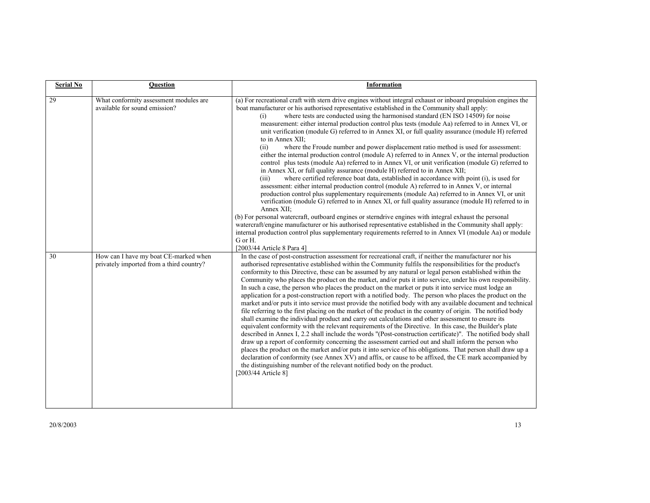| <b>Serial No</b> | <b>Ouestion</b>                                                                   | <b>Information</b>                                                                                                                                                                                                                                                                                                                                                                                                                                                                                                                                                                                                                                                                                                                                                                                                                                                                                                                                                                                                                                                                                                                                                                                                                                                                                                                                                                                                                                                                                                                                                                                                                                                                                                                                    |
|------------------|-----------------------------------------------------------------------------------|-------------------------------------------------------------------------------------------------------------------------------------------------------------------------------------------------------------------------------------------------------------------------------------------------------------------------------------------------------------------------------------------------------------------------------------------------------------------------------------------------------------------------------------------------------------------------------------------------------------------------------------------------------------------------------------------------------------------------------------------------------------------------------------------------------------------------------------------------------------------------------------------------------------------------------------------------------------------------------------------------------------------------------------------------------------------------------------------------------------------------------------------------------------------------------------------------------------------------------------------------------------------------------------------------------------------------------------------------------------------------------------------------------------------------------------------------------------------------------------------------------------------------------------------------------------------------------------------------------------------------------------------------------------------------------------------------------------------------------------------------------|
| 29               | What conformity assessment modules are<br>available for sound emission?           | (a) For recreational craft with stern drive engines without integral exhaust or inboard propulsion engines the<br>boat manufacturer or his authorised representative established in the Community shall apply:<br>where tests are conducted using the harmonised standard (EN ISO 14509) for noise<br>(i)<br>measurement: either internal production control plus tests (module Aa) referred to in Annex VI, or<br>unit verification (module G) referred to in Annex XI, or full quality assurance (module H) referred<br>to in Annex XII:<br>where the Froude number and power displacement ratio method is used for assessment:<br>(ii)<br>either the internal production control (module A) referred to in Annex V, or the internal production<br>control plus tests (module Aa) referred to in Annex VI, or unit verification (module G) referred to<br>in Annex XI, or full quality assurance (module H) referred to in Annex XII;<br>where certified reference boat data, established in accordance with point (i), is used for<br>(iii)<br>assessment: either internal production control (module A) referred to in Annex V, or internal<br>production control plus supplementary requirements (module Aa) referred to in Annex VI, or unit<br>verification (module G) referred to in Annex XI, or full quality assurance (module H) referred to in<br>Annex XII;<br>(b) For personal watercraft, outboard engines or sterndrive engines with integral exhaust the personal<br>watercraft/engine manufacturer or his authorised representative established in the Community shall apply:<br>internal production control plus supplementary requirements referred to in Annex VI (module Aa) or module<br>G or H.<br>[2003/44 Article 8 Para 4] |
| 30               | How can I have my boat CE-marked when<br>privately imported from a third country? | In the case of post-construction assessment for recreational craft, if neither the manufacturer nor his<br>authorised representative established within the Community fulfils the responsibilities for the product's<br>conformity to this Directive, these can be assumed by any natural or legal person established within the<br>Community who places the product on the market, and/or puts it into service, under his own responsibility.<br>In such a case, the person who places the product on the market or puts it into service must lodge an<br>application for a post-construction report with a notified body. The person who places the product on the<br>market and/or puts it into service must provide the notified body with any available document and technical<br>file referring to the first placing on the market of the product in the country of origin. The notified body<br>shall examine the individual product and carry out calculations and other assessment to ensure its<br>equivalent conformity with the relevant requirements of the Directive. In this case, the Builder's plate<br>described in Annex I, 2.2 shall include the words "(Post-construction certificate)". The notified body shall<br>draw up a report of conformity concerning the assessment carried out and shall inform the person who<br>places the product on the market and/or puts it into service of his obligations. That person shall draw up a<br>declaration of conformity (see Annex XV) and affix, or cause to be affixed, the CE mark accompanied by<br>the distinguishing number of the relevant notified body on the product.<br>[2003/44 Article 8]                                                                             |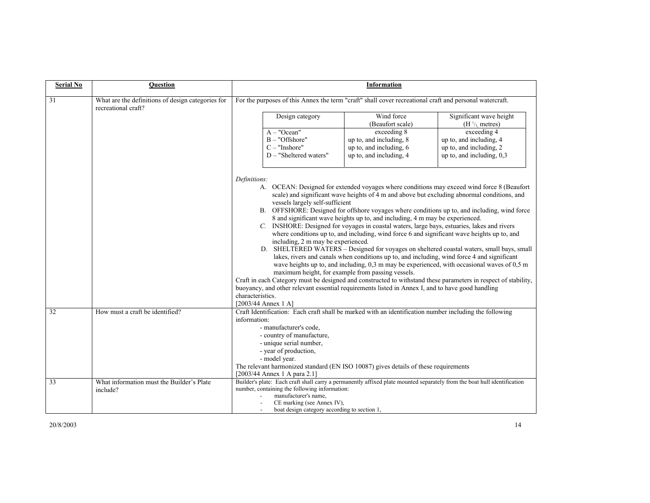| <b>Serial No</b> | <b>Ouestion</b>                                                          | <b>Information</b>                                                                                                                                                                                                                                                                                                                                                                                                                                                                                                                                                                                                                                                                                                                                                                                                                                                                                                                                                                                                                                                                                                                                                                                                                                                                  |  |  |  |
|------------------|--------------------------------------------------------------------------|-------------------------------------------------------------------------------------------------------------------------------------------------------------------------------------------------------------------------------------------------------------------------------------------------------------------------------------------------------------------------------------------------------------------------------------------------------------------------------------------------------------------------------------------------------------------------------------------------------------------------------------------------------------------------------------------------------------------------------------------------------------------------------------------------------------------------------------------------------------------------------------------------------------------------------------------------------------------------------------------------------------------------------------------------------------------------------------------------------------------------------------------------------------------------------------------------------------------------------------------------------------------------------------|--|--|--|
| 31               | What are the definitions of design categories for<br>recreational craft? | For the purposes of this Annex the term "craft" shall cover recreational craft and personal watercraft.                                                                                                                                                                                                                                                                                                                                                                                                                                                                                                                                                                                                                                                                                                                                                                                                                                                                                                                                                                                                                                                                                                                                                                             |  |  |  |
|                  |                                                                          | Wind force<br>Significant wave height<br>Design category<br>(Beaufort scale)<br>(H <sup>1</sup> / <sub>3</sub> metres)                                                                                                                                                                                                                                                                                                                                                                                                                                                                                                                                                                                                                                                                                                                                                                                                                                                                                                                                                                                                                                                                                                                                                              |  |  |  |
|                  |                                                                          | exceeding 8<br>exceeding 4<br>$A - "Ocean"$<br>$B - "Offshore"$<br>up to, and including, 8<br>up to, and including, 4<br>$C - "Inshore"$<br>up to, and including, 6<br>up to, and including, 2<br>D - "Sheltered waters"<br>up to, and including, $0,3$<br>up to, and including, 4                                                                                                                                                                                                                                                                                                                                                                                                                                                                                                                                                                                                                                                                                                                                                                                                                                                                                                                                                                                                  |  |  |  |
|                  |                                                                          | Definitions:<br>A. OCEAN: Designed for extended voyages where conditions may exceed wind force 8 (Beaufort<br>scale) and significant wave heights of 4 m and above but excluding abnormal conditions, and<br>vessels largely self-sufficient<br>B. OFFSHORE: Designed for offshore voyages where conditions up to, and including, wind force<br>8 and significant wave heights up to, and including, 4 m may be experienced.<br>C. INSHORE: Designed for voyages in coastal waters, large bays, estuaries, lakes and rivers<br>where conditions up to, and including, wind force 6 and significant wave heights up to, and<br>including, 2 m may be experienced.<br>D. SHELTERED WATERS - Designed for voyages on sheltered coastal waters, small bays, small<br>lakes, rivers and canals when conditions up to, and including, wind force 4 and significant<br>wave heights up to, and including, 0,3 m may be experienced, with occasional waves of 0,5 m<br>maximum height, for example from passing vessels.<br>Craft in each Category must be designed and constructed to withstand these parameters in respect of stability,<br>buoyancy, and other relevant essential requirements listed in Annex I, and to have good handling<br>characteristics.<br>$[2003/44$ Annex 1 A] |  |  |  |
| 32               | How must a craft be identified?                                          | Craft Identification: Each craft shall be marked with an identification number including the following<br>information:<br>- manufacturer's code,<br>- country of manufacture,<br>- unique serial number,<br>- year of production,<br>- model year.<br>The relevant harmonized standard (EN ISO 10087) gives details of these requirements<br>[2003/44 Annex 1 A para 2.1]                                                                                                                                                                                                                                                                                                                                                                                                                                                                                                                                                                                                                                                                                                                                                                                                                                                                                                           |  |  |  |
| 33               | What information must the Builder's Plate<br>include?                    | Builder's plate: Each craft shall carry a permanently affixed plate mounted separately from the boat hull identification<br>number, containing the following information:<br>manufacturer's name,<br>CE marking (see Annex IV),<br>boat design category according to section 1,                                                                                                                                                                                                                                                                                                                                                                                                                                                                                                                                                                                                                                                                                                                                                                                                                                                                                                                                                                                                     |  |  |  |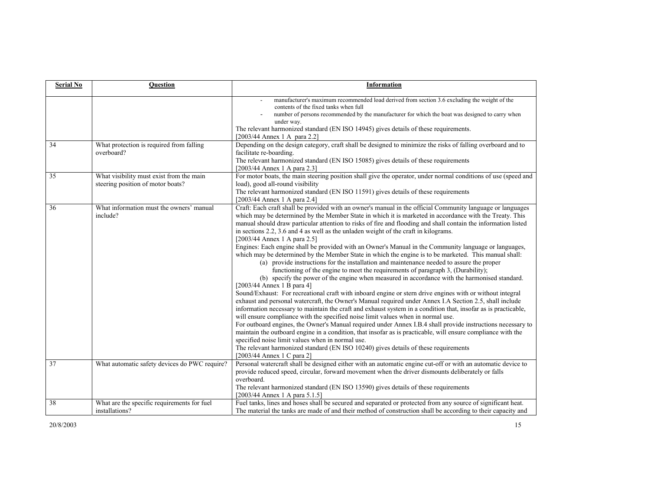| <b>Serial No</b> | <b>Question</b>                                                                                       | <b>Information</b>                                                                                                                                                                                                                                                                                                                                                                                                                                                                                                                                                                                                                                                                                                                                                                                                                                                                                                                                                                                                                                                                                                                                                                                                                                                                                                                                                                                                                                                                                                                                                                                                                                                                                                                                                                                                                                                                                                                                                                                                                                            |
|------------------|-------------------------------------------------------------------------------------------------------|---------------------------------------------------------------------------------------------------------------------------------------------------------------------------------------------------------------------------------------------------------------------------------------------------------------------------------------------------------------------------------------------------------------------------------------------------------------------------------------------------------------------------------------------------------------------------------------------------------------------------------------------------------------------------------------------------------------------------------------------------------------------------------------------------------------------------------------------------------------------------------------------------------------------------------------------------------------------------------------------------------------------------------------------------------------------------------------------------------------------------------------------------------------------------------------------------------------------------------------------------------------------------------------------------------------------------------------------------------------------------------------------------------------------------------------------------------------------------------------------------------------------------------------------------------------------------------------------------------------------------------------------------------------------------------------------------------------------------------------------------------------------------------------------------------------------------------------------------------------------------------------------------------------------------------------------------------------------------------------------------------------------------------------------------------------|
|                  |                                                                                                       | manufacturer's maximum recommended load derived from section 3.6 excluding the weight of the<br>contents of the fixed tanks when full<br>number of persons recommended by the manufacturer for which the boat was designed to carry when<br>under way.<br>The relevant harmonized standard (EN ISO 14945) gives details of these requirements.<br>[2003/44 Annex 1 A para 2.2]                                                                                                                                                                                                                                                                                                                                                                                                                                                                                                                                                                                                                                                                                                                                                                                                                                                                                                                                                                                                                                                                                                                                                                                                                                                                                                                                                                                                                                                                                                                                                                                                                                                                                |
| 34               | What protection is required from falling<br>overboard?                                                | Depending on the design category, craft shall be designed to minimize the risks of falling overboard and to<br>facilitate re-boarding.<br>The relevant harmonized standard (EN ISO 15085) gives details of these requirements<br>[2003/44 Annex 1 A para 2.3]                                                                                                                                                                                                                                                                                                                                                                                                                                                                                                                                                                                                                                                                                                                                                                                                                                                                                                                                                                                                                                                                                                                                                                                                                                                                                                                                                                                                                                                                                                                                                                                                                                                                                                                                                                                                 |
| $\overline{35}$  | What visibility must exist from the main<br>steering position of motor boats?                         | For motor boats, the main steering position shall give the operator, under normal conditions of use (speed and<br>load), good all-round visibility<br>The relevant harmonized standard (EN ISO 11591) gives details of these requirements<br>[2003/44 Annex 1 A para 2.4]                                                                                                                                                                                                                                                                                                                                                                                                                                                                                                                                                                                                                                                                                                                                                                                                                                                                                                                                                                                                                                                                                                                                                                                                                                                                                                                                                                                                                                                                                                                                                                                                                                                                                                                                                                                     |
| 36<br>37         | What information must the owners' manual<br>include?<br>What automatic safety devices do PWC require? | Craft: Each craft shall be provided with an owner's manual in the official Community language or languages<br>which may be determined by the Member State in which it is marketed in accordance with the Treaty. This<br>manual should draw particular attention to risks of fire and flooding and shall contain the information listed<br>in sections 2.2, 3.6 and 4 as well as the unladen weight of the craft in kilograms.<br>[2003/44 Annex 1 A para 2.5]<br>Engines: Each engine shall be provided with an Owner's Manual in the Community language or languages,<br>which may be determined by the Member State in which the engine is to be marketed. This manual shall:<br>(a) provide instructions for the installation and maintenance needed to assure the proper<br>functioning of the engine to meet the requirements of paragraph 3, (Durability);<br>(b) specify the power of the engine when measured in accordance with the harmonised standard.<br>$[2003/44$ Annex 1 B para 4]<br>Sound/Exhaust: For recreational craft with inboard engine or stern drive engines with or without integral<br>exhaust and personal watercraft, the Owner's Manual required under Annex I.A Section 2.5, shall include<br>information necessary to maintain the craft and exhaust system in a condition that, insofar as is practicable,<br>will ensure compliance with the specified noise limit values when in normal use.<br>For outboard engines, the Owner's Manual required under Annex I.B.4 shall provide instructions necessary to<br>maintain the outboard engine in a condition, that insofar as is practicable, will ensure compliance with the<br>specified noise limit values when in normal use.<br>The relevant harmonized standard (EN ISO 10240) gives details of these requirements<br>[2003/44 Annex 1 C para 2]<br>Personal watercraft shall be designed either with an automatic engine cut-off or with an automatic device to<br>provide reduced speed, circular, forward movement when the driver dismounts deliberately or falls |
|                  |                                                                                                       | overboard.<br>The relevant harmonized standard (EN ISO 13590) gives details of these requirements<br>[2003/44 Annex 1 A para 5.1.5]                                                                                                                                                                                                                                                                                                                                                                                                                                                                                                                                                                                                                                                                                                                                                                                                                                                                                                                                                                                                                                                                                                                                                                                                                                                                                                                                                                                                                                                                                                                                                                                                                                                                                                                                                                                                                                                                                                                           |
| 38               | What are the specific requirements for fuel<br>installations?                                         | Fuel tanks, lines and hoses shall be secured and separated or protected from any source of significant heat.<br>The material the tanks are made of and their method of construction shall be according to their capacity and                                                                                                                                                                                                                                                                                                                                                                                                                                                                                                                                                                                                                                                                                                                                                                                                                                                                                                                                                                                                                                                                                                                                                                                                                                                                                                                                                                                                                                                                                                                                                                                                                                                                                                                                                                                                                                  |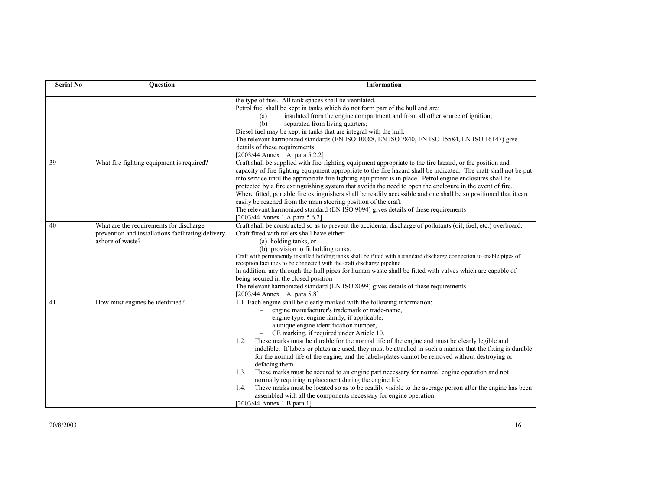| <b>Serial No</b> | Question                                                                                                          | Information                                                                                                                                                                                                                                                                                                                                                                                                                                                                                                                                                                                                                                                                                                                                                                                                                                                                                                                                                                                          |
|------------------|-------------------------------------------------------------------------------------------------------------------|------------------------------------------------------------------------------------------------------------------------------------------------------------------------------------------------------------------------------------------------------------------------------------------------------------------------------------------------------------------------------------------------------------------------------------------------------------------------------------------------------------------------------------------------------------------------------------------------------------------------------------------------------------------------------------------------------------------------------------------------------------------------------------------------------------------------------------------------------------------------------------------------------------------------------------------------------------------------------------------------------|
|                  |                                                                                                                   | the type of fuel. All tank spaces shall be ventilated.<br>Petrol fuel shall be kept in tanks which do not form part of the hull and are:<br>insulated from the engine compartment and from all other source of ignition;<br>(a)<br>separated from living quarters;<br>(b)<br>Diesel fuel may be kept in tanks that are integral with the hull.<br>The relevant harmonized standards (EN ISO 10088, EN ISO 7840, EN ISO 15584, EN ISO 16147) give<br>details of these requirements<br>[2003/44 Annex 1 A para 5.2.2]                                                                                                                                                                                                                                                                                                                                                                                                                                                                                  |
| 39               | What fire fighting equipment is required?                                                                         | Craft shall be supplied with fire-fighting equipment appropriate to the fire hazard, or the position and<br>capacity of fire fighting equipment appropriate to the fire hazard shall be indicated. The craft shall not be put<br>into service until the appropriate fire fighting equipment is in place. Petrol engine enclosures shall be<br>protected by a fire extinguishing system that avoids the need to open the enclosure in the event of fire.<br>Where fitted, portable fire extinguishers shall be readily accessible and one shall be so positioned that it can<br>easily be reached from the main steering position of the craft.<br>The relevant harmonized standard (EN ISO 9094) gives details of these requirements<br>[2003/44 Annex 1 A para 5.6.2]                                                                                                                                                                                                                               |
| 40               | What are the requirements for discharge<br>prevention and installations facilitating delivery<br>ashore of waste? | Craft shall be constructed so as to prevent the accidental discharge of pollutants (oil, fuel, etc.) overboard.<br>Craft fitted with toilets shall have either:<br>(a) holding tanks, or<br>(b) provision to fit holding tanks.<br>Craft with permanently installed holding tanks shall be fitted with a standard discharge connection to enable pipes of<br>reception facilities to be connected with the craft discharge pipeline.<br>In addition, any through-the-hull pipes for human waste shall be fitted with valves which are capable of<br>being secured in the closed position<br>The relevant harmonized standard (EN ISO 8099) gives details of these requirements<br>[2003/44 Annex 1 A para 5.8]                                                                                                                                                                                                                                                                                       |
| 41               | How must engines be identified?                                                                                   | 1.1 Each engine shall be clearly marked with the following information:<br>engine manufacturer's trademark or trade-name,<br>engine type, engine family, if applicable,<br>a unique engine identification number,<br>CE marking, if required under Article 10.<br>These marks must be durable for the normal life of the engine and must be clearly legible and<br>1.2.<br>indelible. If labels or plates are used, they must be attached in such a manner that the fixing is durable<br>for the normal life of the engine, and the labels/plates cannot be removed without destroying or<br>defacing them.<br>These marks must be secured to an engine part necessary for normal engine operation and not<br>1.3.<br>normally requiring replacement during the engine life.<br>These marks must be located so as to be readily visible to the average person after the engine has been<br>1.4.<br>assembled with all the components necessary for engine operation.<br>$[2003/44$ Annex 1 B para 1] |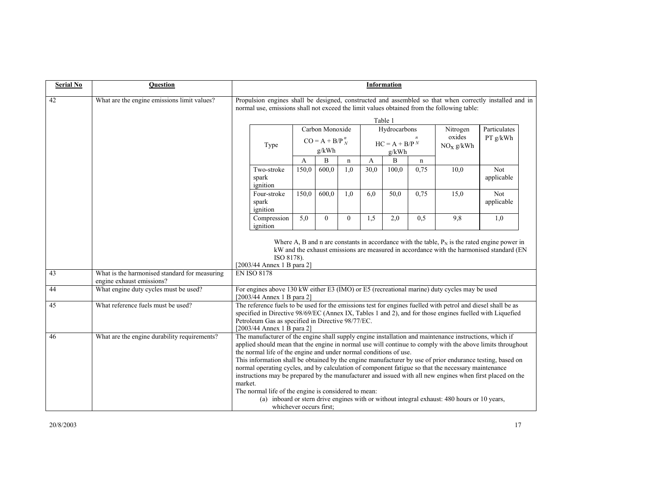| <b>Serial No</b> | <b>Question</b>                               | Information                                                                                                                                                                                                                                                                                                                                                                                                                                                                                                                                                                                                                                                                                  |                         |                          |                |      |                       |             |                                                                                             |                                                                                                                                                                                             |
|------------------|-----------------------------------------------|----------------------------------------------------------------------------------------------------------------------------------------------------------------------------------------------------------------------------------------------------------------------------------------------------------------------------------------------------------------------------------------------------------------------------------------------------------------------------------------------------------------------------------------------------------------------------------------------------------------------------------------------------------------------------------------------|-------------------------|--------------------------|----------------|------|-----------------------|-------------|---------------------------------------------------------------------------------------------|---------------------------------------------------------------------------------------------------------------------------------------------------------------------------------------------|
| 42               | What are the engine emissions limit values?   | Propulsion engines shall be designed, constructed and assembled so that when correctly installed and in<br>normal use, emissions shall not exceed the limit values obtained from the following table:                                                                                                                                                                                                                                                                                                                                                                                                                                                                                        |                         |                          |                |      |                       |             |                                                                                             |                                                                                                                                                                                             |
|                  |                                               |                                                                                                                                                                                                                                                                                                                                                                                                                                                                                                                                                                                                                                                                                              |                         |                          |                |      | Table 1               |             |                                                                                             |                                                                                                                                                                                             |
|                  |                                               |                                                                                                                                                                                                                                                                                                                                                                                                                                                                                                                                                                                                                                                                                              |                         | Carbon Monoxide          |                |      | Hydrocarbons          |             | Nitrogen<br>oxides                                                                          | Particulates                                                                                                                                                                                |
|                  |                                               | $CO = A + B/P_N^n$<br>Type<br>g/kWh                                                                                                                                                                                                                                                                                                                                                                                                                                                                                                                                                                                                                                                          |                         | $HC = A + B/PN$<br>g/kWh |                |      | NO <sub>x</sub> g/kWh | PT g/kWh    |                                                                                             |                                                                                                                                                                                             |
|                  |                                               |                                                                                                                                                                                                                                                                                                                                                                                                                                                                                                                                                                                                                                                                                              | A                       | B                        | $\mathbf n$    | A    | B                     | $\mathbf n$ |                                                                                             |                                                                                                                                                                                             |
|                  |                                               | Two-stroke<br>spark<br>ignition                                                                                                                                                                                                                                                                                                                                                                                                                                                                                                                                                                                                                                                              | 150.0                   | 600.0                    | 1,0            | 30.0 | 100.0                 | 0,75        | 10,0                                                                                        | Not<br>applicable                                                                                                                                                                           |
|                  |                                               | Four-stroke<br>spark<br>ignition                                                                                                                                                                                                                                                                                                                                                                                                                                                                                                                                                                                                                                                             | 150,0                   | 600,0                    | 1,0            | 6.0  | 50,0                  | 0,75        | 15,0                                                                                        | <b>Not</b><br>applicable                                                                                                                                                                    |
|                  |                                               | Compression<br>ignition                                                                                                                                                                                                                                                                                                                                                                                                                                                                                                                                                                                                                                                                      | 5.0                     | $\Omega$                 | $\overline{0}$ | 1.5  | 2,0                   | 0.5         | 9,8                                                                                         | 1,0                                                                                                                                                                                         |
| 43               | What is the harmonised standard for measuring | ISO 8178).<br>[2003/44 Annex 1 B para 2]<br><b>EN ISO 8178</b>                                                                                                                                                                                                                                                                                                                                                                                                                                                                                                                                                                                                                               |                         |                          |                |      |                       |             |                                                                                             | Where A, B and n are constants in accordance with the table, $P_N$ is the rated engine power in<br>kW and the exhaust emissions are measured in accordance with the harmonised standard (EN |
|                  | engine exhaust emissions?                     |                                                                                                                                                                                                                                                                                                                                                                                                                                                                                                                                                                                                                                                                                              |                         |                          |                |      |                       |             |                                                                                             |                                                                                                                                                                                             |
| 44               | What engine duty cycles must be used?         | For engines above 130 kW either E3 (IMO) or E5 (recreational marine) duty cycles may be used<br>[2003/44 Annex 1 B para 2]                                                                                                                                                                                                                                                                                                                                                                                                                                                                                                                                                                   |                         |                          |                |      |                       |             |                                                                                             |                                                                                                                                                                                             |
| 45               | What reference fuels must be used?            | The reference fuels to be used for the emissions test for engines fuelled with petrol and diesel shall be as<br>specified in Directive 98/69/EC (Annex IX, Tables 1 and 2), and for those engines fuelled with Liquefied<br>Petroleum Gas as specified in Directive 98/77/EC.<br>[2003/44 Annex 1 B para 2]                                                                                                                                                                                                                                                                                                                                                                                  |                         |                          |                |      |                       |             |                                                                                             |                                                                                                                                                                                             |
| 46               | What are the engine durability requirements?  | The manufacturer of the engine shall supply engine installation and maintenance instructions, which if<br>applied should mean that the engine in normal use will continue to comply with the above limits throughout<br>the normal life of the engine and under normal conditions of use.<br>This information shall be obtained by the engine manufacturer by use of prior endurance testing, based on<br>normal operating cycles, and by calculation of component fatigue so that the necessary maintenance<br>instructions may be prepared by the manufacturer and issued with all new engines when first placed on the<br>market.<br>The normal life of the engine is considered to mean: | whichever occurs first; |                          |                |      |                       |             | (a) inboard or stern drive engines with or without integral exhaust: 480 hours or 10 years, |                                                                                                                                                                                             |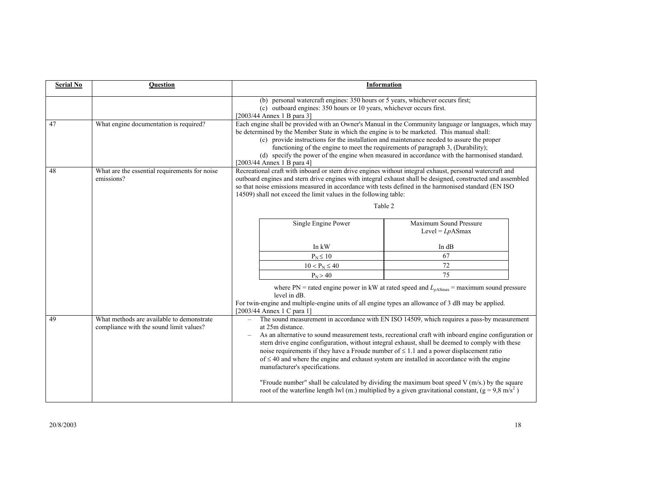| <b>Serial No</b> | <b>Ouestion</b>                                                                      | <b>Information</b>                                                                                                                                                                                                                                                                                                                                                                                                                                                                                                      |                                                                                                                                                                                                                                                                                                                                                                                                            |                                                                                                                                                                                                                                                                                                                                                                                                          |  |  |
|------------------|--------------------------------------------------------------------------------------|-------------------------------------------------------------------------------------------------------------------------------------------------------------------------------------------------------------------------------------------------------------------------------------------------------------------------------------------------------------------------------------------------------------------------------------------------------------------------------------------------------------------------|------------------------------------------------------------------------------------------------------------------------------------------------------------------------------------------------------------------------------------------------------------------------------------------------------------------------------------------------------------------------------------------------------------|----------------------------------------------------------------------------------------------------------------------------------------------------------------------------------------------------------------------------------------------------------------------------------------------------------------------------------------------------------------------------------------------------------|--|--|
|                  |                                                                                      | (b) personal watercraft engines: 350 hours or 5 years, whichever occurs first;<br>(c) outboard engines: 350 hours or 10 years, whichever occurs first.<br>[2003/44 Annex 1 B para 3]                                                                                                                                                                                                                                                                                                                                    |                                                                                                                                                                                                                                                                                                                                                                                                            |                                                                                                                                                                                                                                                                                                                                                                                                          |  |  |
| 47               | What engine documentation is required?                                               | Each engine shall be provided with an Owner's Manual in the Community language or languages, which may<br>be determined by the Member State in which the engine is to be marketed. This manual shall:<br>(c) provide instructions for the installation and maintenance needed to assure the proper<br>functioning of the engine to meet the requirements of paragraph 3, (Durability);<br>(d) specify the power of the engine when measured in accordance with the harmonised standard.<br>$[2003/44$ Annex 1 B para 4] |                                                                                                                                                                                                                                                                                                                                                                                                            |                                                                                                                                                                                                                                                                                                                                                                                                          |  |  |
| 48               | What are the essential requirements for noise<br>emissions?                          | Recreational craft with inboard or stern drive engines without integral exhaust, personal watercraft and<br>outboard engines and stern drive engines with integral exhaust shall be designed, constructed and assembled<br>so that noise emissions measured in accordance with tests defined in the harmonised standard (EN ISO)<br>14509) shall not exceed the limit values in the following table:<br>Table 2                                                                                                         |                                                                                                                                                                                                                                                                                                                                                                                                            |                                                                                                                                                                                                                                                                                                                                                                                                          |  |  |
|                  |                                                                                      |                                                                                                                                                                                                                                                                                                                                                                                                                                                                                                                         | Single Engine Power                                                                                                                                                                                                                                                                                                                                                                                        | Maximum Sound Pressure<br>Level = $Lp$ ASmax                                                                                                                                                                                                                                                                                                                                                             |  |  |
|                  |                                                                                      |                                                                                                                                                                                                                                                                                                                                                                                                                                                                                                                         | In kW                                                                                                                                                                                                                                                                                                                                                                                                      | In dB                                                                                                                                                                                                                                                                                                                                                                                                    |  |  |
|                  |                                                                                      |                                                                                                                                                                                                                                                                                                                                                                                                                                                                                                                         | $P_N \leq 10$                                                                                                                                                                                                                                                                                                                                                                                              | 67<br>72                                                                                                                                                                                                                                                                                                                                                                                                 |  |  |
|                  |                                                                                      |                                                                                                                                                                                                                                                                                                                                                                                                                                                                                                                         | $10 < P_N \le 40$<br>$P_N > 40$                                                                                                                                                                                                                                                                                                                                                                            | 75                                                                                                                                                                                                                                                                                                                                                                                                       |  |  |
| 49               | What methods are available to demonstrate<br>compliance with the sound limit values? | $\overline{\phantom{0}}$                                                                                                                                                                                                                                                                                                                                                                                                                                                                                                | level in dB.<br>For twin-engine and multiple-engine units of all engine types an allowance of 3 dB may be applied.<br>[2003/44 Annex 1 C para 1]<br>at 25m distance.<br>noise requirements if they have a Froude number of $\leq 1.1$ and a power displacement ratio<br>of $\leq$ 40 and where the engine and exhaust system are installed in accordance with the engine<br>manufacturer's specifications. | where PN = rated engine power in kW at rated speed and $L_{pASmax}$ = maximum sound pressure<br>The sound measurement in accordance with EN ISO 14509, which requires a pass-by measurement<br>As an alternative to sound measurement tests, recreational craft with inboard engine configuration or<br>stern drive engine configuration, without integral exhaust, shall be deemed to comply with these |  |  |
|                  |                                                                                      |                                                                                                                                                                                                                                                                                                                                                                                                                                                                                                                         |                                                                                                                                                                                                                                                                                                                                                                                                            | "Froude number" shall be calculated by dividing the maximum boat speed $V(m/s)$ by the square<br>root of the waterline length lwl (m.) multiplied by a given gravitational constant, $(g = 9.8 \text{ m/s}^2)$                                                                                                                                                                                           |  |  |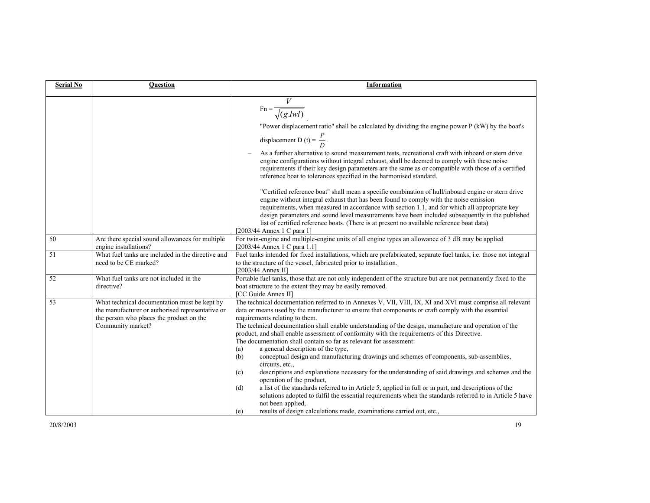| <b>Serial No</b> | <b>Question</b>                                                                                                                                                   | <b>Information</b>                                                                                                                                                                                                                                                                                                                                                                                                                                                                                                                                                                                                                                                                                                                                                                                                                                                                                                                                                                                                                                                                                                                                                            |
|------------------|-------------------------------------------------------------------------------------------------------------------------------------------------------------------|-------------------------------------------------------------------------------------------------------------------------------------------------------------------------------------------------------------------------------------------------------------------------------------------------------------------------------------------------------------------------------------------------------------------------------------------------------------------------------------------------------------------------------------------------------------------------------------------------------------------------------------------------------------------------------------------------------------------------------------------------------------------------------------------------------------------------------------------------------------------------------------------------------------------------------------------------------------------------------------------------------------------------------------------------------------------------------------------------------------------------------------------------------------------------------|
|                  |                                                                                                                                                                   | $Fn = \frac{1}{\sqrt{(g.lwl)}}$<br>"Power displacement ratio" shall be calculated by dividing the engine power P (kW) by the boat's<br>displacement D (t) = $\frac{P}{D}$ .<br>As a further alternative to sound measurement tests, recreational craft with inboard or stern drive<br>engine configurations without integral exhaust, shall be deemed to comply with these noise<br>requirements if their key design parameters are the same as or compatible with those of a certified<br>reference boat to tolerances specified in the harmonised standard.<br>"Certified reference boat" shall mean a specific combination of hull/inboard engine or stern drive<br>engine without integral exhaust that has been found to comply with the noise emission<br>requirements, when measured in accordance with section 1.1, and for which all appropriate key<br>design parameters and sound level measurements have been included subsequently in the published<br>list of certified reference boats. (There is at present no available reference boat data)<br>$[2003/44$ Annex 1 C para 1]                                                                                 |
| 50               | Are there special sound allowances for multiple<br>engine installations?                                                                                          | For twin-engine and multiple-engine units of all engine types an allowance of 3 dB may be applied<br>[2003/44 Annex 1 C para 1.1]                                                                                                                                                                                                                                                                                                                                                                                                                                                                                                                                                                                                                                                                                                                                                                                                                                                                                                                                                                                                                                             |
| 51               | What fuel tanks are included in the directive and<br>need to be CE marked?                                                                                        | Fuel tanks intended for fixed installations, which are prefabricated, separate fuel tanks, i.e. those not integral<br>to the structure of the vessel, fabricated prior to installation.<br>[2003/44 Annex II]                                                                                                                                                                                                                                                                                                                                                                                                                                                                                                                                                                                                                                                                                                                                                                                                                                                                                                                                                                 |
| 52               | What fuel tanks are not included in the<br>directive?                                                                                                             | Portable fuel tanks, those that are not only independent of the structure but are not permanently fixed to the<br>boat structure to the extent they may be easily removed.<br>[CC Guide Annex II]                                                                                                                                                                                                                                                                                                                                                                                                                                                                                                                                                                                                                                                                                                                                                                                                                                                                                                                                                                             |
| 53               | What technical documentation must be kept by<br>the manufacturer or authorised representative or<br>the person who places the product on the<br>Community market? | The technical documentation referred to in Annexes V, VII, VIII, IX, XI and XVI must comprise all relevant<br>data or means used by the manufacturer to ensure that components or craft comply with the essential<br>requirements relating to them.<br>The technical documentation shall enable understanding of the design, manufacture and operation of the<br>product, and shall enable assessment of conformity with the requirements of this Directive.<br>The documentation shall contain so far as relevant for assessment:<br>a general description of the type,<br>(a)<br>conceptual design and manufacturing drawings and schemes of components, sub-assemblies,<br>(b)<br>circuits, etc.,<br>descriptions and explanations necessary for the understanding of said drawings and schemes and the<br>(c)<br>operation of the product,<br>a list of the standards referred to in Article 5, applied in full or in part, and descriptions of the<br>(d)<br>solutions adopted to fulfil the essential requirements when the standards referred to in Article 5 have<br>not been applied,<br>results of design calculations made, examinations carried out, etc.,<br>(e) |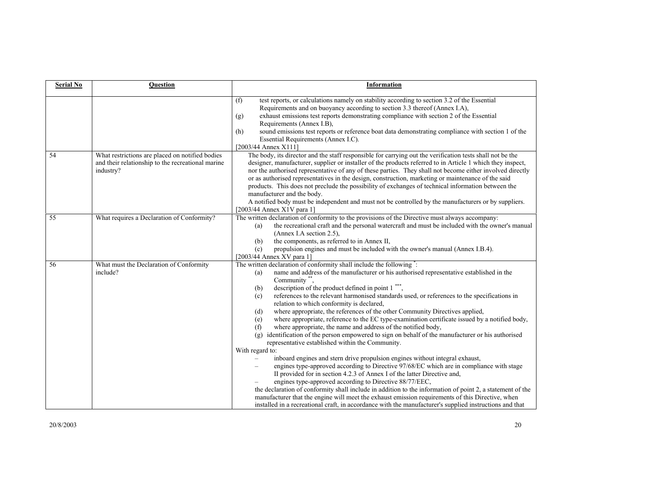| <b>Serial No</b> | Question                                                                                                          | Information                                                                                                                                                                                                                                                                                                                                                                                                                                                                                                                                                                                                                                                                                                                                                                                                                                                                                                                                                                                                                                                                                                                                                                                                                                                                                                                                                                                                                                                                                                                 |  |  |
|------------------|-------------------------------------------------------------------------------------------------------------------|-----------------------------------------------------------------------------------------------------------------------------------------------------------------------------------------------------------------------------------------------------------------------------------------------------------------------------------------------------------------------------------------------------------------------------------------------------------------------------------------------------------------------------------------------------------------------------------------------------------------------------------------------------------------------------------------------------------------------------------------------------------------------------------------------------------------------------------------------------------------------------------------------------------------------------------------------------------------------------------------------------------------------------------------------------------------------------------------------------------------------------------------------------------------------------------------------------------------------------------------------------------------------------------------------------------------------------------------------------------------------------------------------------------------------------------------------------------------------------------------------------------------------------|--|--|
|                  |                                                                                                                   | test reports, or calculations namely on stability according to section 3.2 of the Essential<br>(f)<br>Requirements and on buoyancy according to section 3.3 thereof (Annex I.A),<br>exhaust emissions test reports demonstrating compliance with section 2 of the Essential<br>(g)<br>Requirements (Annex I.B),<br>sound emissions test reports or reference boat data demonstrating compliance with section 1 of the<br>(h)<br>Essential Requirements (Annex I.C).<br>[2003/44 Annex X111]                                                                                                                                                                                                                                                                                                                                                                                                                                                                                                                                                                                                                                                                                                                                                                                                                                                                                                                                                                                                                                 |  |  |
| 54               | What restrictions are placed on notified bodies<br>and their relationship to the recreational marine<br>industry? | The body, its director and the staff responsible for carrying out the verification tests shall not be the<br>designer, manufacturer, supplier or installer of the products referred to in Article 1 which they inspect,<br>nor the authorised representative of any of these parties. They shall not become either involved directly<br>or as authorised representatives in the design, construction, marketing or maintenance of the said<br>products. This does not preclude the possibility of exchanges of technical information between the<br>manufacturer and the body.<br>A notified body must be independent and must not be controlled by the manufacturers or by suppliers.<br>[2003/44 Annex X1V para 1]                                                                                                                                                                                                                                                                                                                                                                                                                                                                                                                                                                                                                                                                                                                                                                                                        |  |  |
| 55               | What requires a Declaration of Conformity?                                                                        | The written declaration of conformity to the provisions of the Directive must always accompany:<br>the recreational craft and the personal watercraft and must be included with the owner's manual<br>(a)<br>(Annex I.A section 2.5),<br>the components, as referred to in Annex II,<br>(b)<br>propulsion engines and must be included with the owner's manual (Annex I.B.4).<br>(c)<br>[2003/44 Annex XV para $1$ ]                                                                                                                                                                                                                                                                                                                                                                                                                                                                                                                                                                                                                                                                                                                                                                                                                                                                                                                                                                                                                                                                                                        |  |  |
| 56               | What must the Declaration of Conformity<br>include?                                                               | The written declaration of conformity shall include the following":<br>name and address of the manufacturer or his authorised representative established in the<br>(a)<br>Community **.<br>description of the product defined in point 1 <sup>***</sup> ,<br>(b)<br>references to the relevant harmonised standards used, or references to the specifications in<br>(c)<br>relation to which conformity is declared,<br>where appropriate, the references of the other Community Directives applied,<br>(d)<br>where appropriate, reference to the EC type-examination certificate issued by a notified body,<br>(e)<br>where appropriate, the name and address of the notified body,<br>(f)<br>identification of the person empowered to sign on behalf of the manufacturer or his authorised<br>(g)<br>representative established within the Community.<br>With regard to:<br>inboard engines and stern drive propulsion engines without integral exhaust,<br>engines type-approved according to Directive 97/68/EC which are in compliance with stage<br>II provided for in section 4.2.3 of Annex I of the latter Directive and,<br>engines type-approved according to Directive 88/77/EEC,<br>the declaration of conformity shall include in addition to the information of point 2, a statement of the<br>manufacturer that the engine will meet the exhaust emission requirements of this Directive, when<br>installed in a recreational craft, in accordance with the manufacturer's supplied instructions and that |  |  |